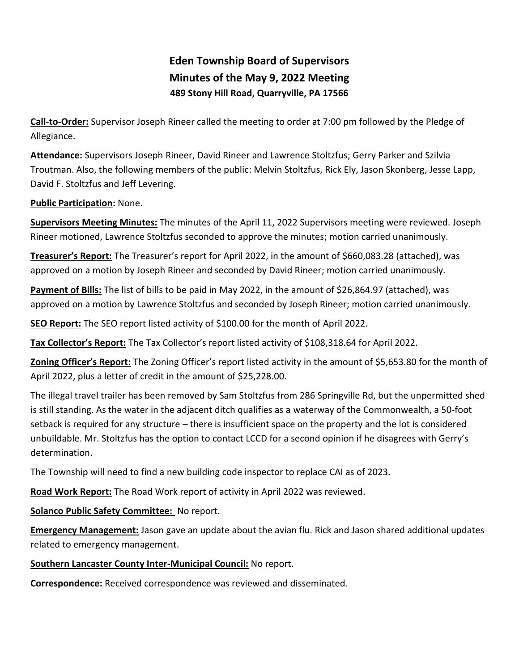# **Eden Township Board of Supervisors Minutes of the May 9, 2022 Meeting 489 Stony Hill Road, Quarryville, PA 17566**

**Call-to-Order:** Supervisor Joseph Rineer called the meeting to order at 7:00 pm followed by the Pledge of Allegiance.

**Attendance:** Supervisors Joseph Rineer, David Rineer and Lawrence Stoltzfus; Gerry Parker and Szilvia Troutman. Also, the following members of the public: Melvin Stoltzfus, Rick Ely, Jason Skonberg, Jesse Lapp, David F. Stoltzfus and Jeff Levering.

## **Public Participation:** None.

**Supervisors Meeting Minutes:** The minutes of the April 11, 2022 Supervisors meeting were reviewed. Joseph Rineer motioned, Lawrence Stoltzfus seconded to approve the minutes; motion carried unanimously.

**Treasurer's Report:** The Treasurer's report for April 2022, in the amount of \$660,083.28 (attached), was approved on a motion by Joseph Rineer and seconded by David Rineer; motion carried unanimously.

**Payment of Bills:** The list of bills to be paid in May 2022, in the amount of \$26,864.97 (attached), was approved on a motion by Lawrence Stoltzfus and seconded by Joseph Rineer; motion carried unanimously.

**SEO Report:** The SEO report listed activity of \$100.00 for the month of April 2022.

**Tax Collector's Report:** The Tax Collector's report listed activity of \$108,318.64 for April 2022.

**Zoning Officer's Report:** The Zoning Officer's report listed activity in the amount of \$5,653.80 for the month of April 2022, plus a letter of credit in the amount of \$25,228.00.

The illegal travel trailer has been removed by Sam Stoltzfus from 286 Springville Rd, but the unpermitted shed is still standing. As the water in the adjacent ditch qualifies as a waterway of the Commonwealth, a 50-foot setback is required for any structure – there is insufficient space on the property and the lot is considered unbuildable. Mr. Stoltzfus has the option to contact LCCD for a second opinion if he disagrees with Gerry's determination.

The Township will need to find a new building code inspector to replace CAI as of 2023.

**Road Work Report:** The Road Work report of activity in April 2022 was reviewed.

**Solanco Public Safety Committee:** No report.

**Emergency Management:** Jason gave an update about the avian flu. Rick and Jason shared additional updates related to emergency management.

## **Southern Lancaster County Inter-Municipal Council:** No report.

**Correspondence:** Received correspondence was reviewed and disseminated.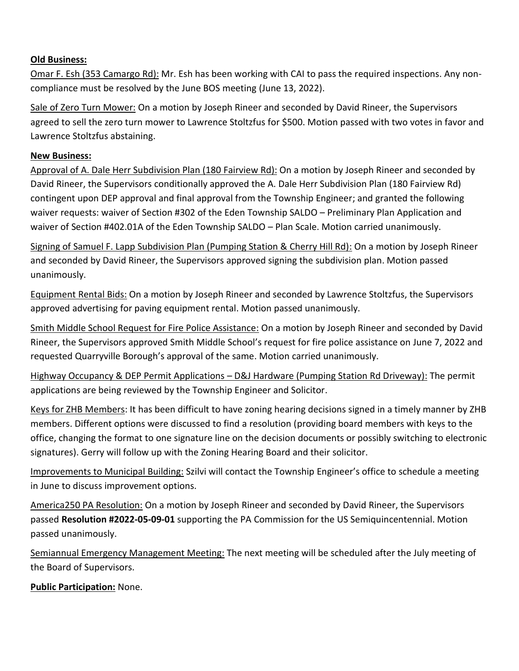### **Old Business:**

Omar F. Esh (353 Camargo Rd): Mr. Esh has been working with CAI to pass the required inspections. Any noncompliance must be resolved by the June BOS meeting (June 13, 2022).

Sale of Zero Turn Mower: On a motion by Joseph Rineer and seconded by David Rineer, the Supervisors agreed to sell the zero turn mower to Lawrence Stoltzfus for \$500. Motion passed with two votes in favor and Lawrence Stoltzfus abstaining.

#### **New Business:**

Approval of A. Dale Herr Subdivision Plan (180 Fairview Rd): On a motion by Joseph Rineer and seconded by David Rineer, the Supervisors conditionally approved the A. Dale Herr Subdivision Plan (180 Fairview Rd) contingent upon DEP approval and final approval from the Township Engineer; and granted the following waiver requests: waiver of Section #302 of the Eden Township SALDO – Preliminary Plan Application and waiver of Section #402.01A of the Eden Township SALDO – Plan Scale. Motion carried unanimously.

Signing of Samuel F. Lapp Subdivision Plan (Pumping Station & Cherry Hill Rd): On a motion by Joseph Rineer and seconded by David Rineer, the Supervisors approved signing the subdivision plan. Motion passed unanimously.

Equipment Rental Bids: On a motion by Joseph Rineer and seconded by Lawrence Stoltzfus, the Supervisors approved advertising for paving equipment rental. Motion passed unanimously.

Smith Middle School Request for Fire Police Assistance: On a motion by Joseph Rineer and seconded by David Rineer, the Supervisors approved Smith Middle School's request for fire police assistance on June 7, 2022 and requested Quarryville Borough's approval of the same. Motion carried unanimously.

Highway Occupancy & DEP Permit Applications – D&J Hardware (Pumping Station Rd Driveway): The permit applications are being reviewed by the Township Engineer and Solicitor.

Keys for ZHB Members: It has been difficult to have zoning hearing decisions signed in a timely manner by ZHB members. Different options were discussed to find a resolution (providing board members with keys to the office, changing the format to one signature line on the decision documents or possibly switching to electronic signatures). Gerry will follow up with the Zoning Hearing Board and their solicitor.

Improvements to Municipal Building: Szilvi will contact the Township Engineer's office to schedule a meeting in June to discuss improvement options.

America250 PA Resolution: On a motion by Joseph Rineer and seconded by David Rineer, the Supervisors passed **Resolution #2022-05-09-01** supporting the PA Commission for the US Semiquincentennial. Motion passed unanimously.

Semiannual Emergency Management Meeting: The next meeting will be scheduled after the July meeting of the Board of Supervisors.

**Public Participation:** None.